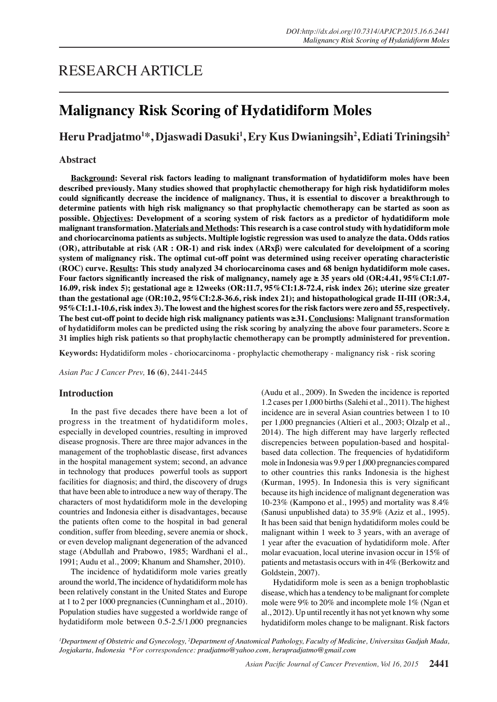# **Malignancy Risk Scoring of Hydatidiform Moles**

# **Heru Pradjatmo1 \*, Djaswadi Dasuki<sup>1</sup> , Ery Kus Dwianingsih<sup>2</sup> , Ediati Triningsih<sup>2</sup>**

# **Abstract**

**Background: Several risk factors leading to malignant transformation of hydatidiform moles have been described previously. Many studies showed that prophylactic chemotherapy for high risk hydatidiform moles could significantly decrease the incidence of malignancy. Thus, it is essential to discover a breakthrough to determine patients with high risk malignancy so that prophylactic chemotherapy can be started as soon as possible. Objectives: Development of a scoring system of risk factors as a predictor of hydatidiform mole malignant transformation. Materials and Methods: This research is a case control study with hydatidiform mole and choriocarcinoma patients as subjects. Multiple logistic regression was used to analyze the data. Odds ratios (OR), attributable at risk (AR : OR-1) and risk index (ARxβ) were calculated for develoipment of a scoring system of malignancy risk. The optimal cut-off point was determined using receiver operating characteristic (ROC) curve. Results: This study analyzed 34 choriocarcinoma cases and 68 benign hydatidiform mole cases. Four factors significantly increased the risk of malignancy, namely age ≥ 35 years old (OR:4.41, 95%CI:1.07- 16.09, risk index 5); gestational age ≥ 12weeks (OR:11.7, 95%CI:1.8-72.4, risk index 26); uterine size greater than the gestational age (OR:10.2, 95%CI:2.8-36.6, risk index 21); and histopathological grade II-III (OR:3.4, 95%CI:1.1-10.6, risk index 3). The lowest and the highest scores for the risk factors were zero and 55, respectively. The best cut-off point to decide high risk malignancy patients was ≥31. Conclusions: Malignant transformation of hydatidiform moles can be predicted using the risk scoring by analyzing the above four parameters. Score ≥ 31 implies high risk patients so that prophylactic chemotherapy can be promptly administered for prevention.**

**Keywords:** Hydatidiform moles - choriocarcinoma - prophylactic chemotherapy - malignancy risk - risk scoring

*Asian Pac J Cancer Prev,* **16 (6)**, 2441-2445

## **Introduction**

In the past five decades there have been a lot of progress in the treatment of hydatidiform moles, especially in developed countries, resulting in improved disease prognosis. There are three major advances in the management of the trophoblastic disease, first advances in the hospital management system; second, an advance in technology that produces powerful tools as support facilities for diagnosis; and third, the discovery of drugs that have been able to introduce a new way of therapy. The characters of most hydatidiform mole in the developing countries and Indonesia either is disadvantages, because the patients often come to the hospital in bad general condition, suffer from bleeding, severe anemia or shock, or even develop malignant degeneration of the advanced stage (Abdullah and Prabowo, 1985; Wardhani el al., 1991; Audu et al., 2009; Khanum and Shamsher, 2010).

The incidence of hydatidiform mole varies greatly around the world, The incidence of hydatidiform mole has been relatively constant in the United States and Europe at 1 to 2 per 1000 pregnancies (Cunningham et al., 2010). Population studies have suggested a worldwide range of hydatidiform mole between 0.5-2.5/1,000 pregnancies (Audu et al., 2009). In Sweden the incidence is reported 1.2 cases per 1,000 births (Salehi et al., 2011). The highest incidence are in several Asian countries between 1 to 10 per 1,000 pregnancies (Altieri et al., 2003; Olzalp et al., 2014). The high different may have largerly reflected discrepencies between population-based and hospitalbased data collection. The frequencies of hydatidiform mole in Indonesia was 9.9 per 1,000 pregnancies compared to other countries this ranks Indonesia is the highest (Kurman, 1995). In Indonesia this is very significant because its high incidence of malignant degeneration was 10-23% (Kampono et al., 1995) and mortality was 8.4% (Sanusi unpublished data) to 35.9% (Aziz et al., 1995). It has been said that benign hydatidiform moles could be malignant within 1 week to 3 years, with an average of 1 year after the evacuation of hydatidiform mole. After molar evacuation, local uterine invasion occur in 15% of patients and metastasis occurs with in 4% (Berkowitz and Goldstein, 2007).

Hydatidiform mole is seen as a benign trophoblastic disease, which has a tendency to be malignant for complete mole were 9% to 20% and incomplete mole 1% (Ngan et al., 2012). Up until recently it has not yet known why some hydatidiform moles change to be malignant. Risk factors

<sup>1</sup>Department of Obstetric and Gynecology, <sup>2</sup>Department of Anatomical Pathology, Faculty of Medicine, Universitas Gadjah Mada, *Jogjakarta, Indonesia \*For correspondence: pradjatmo@yahoo.com, herupradjatmo@gmail.com*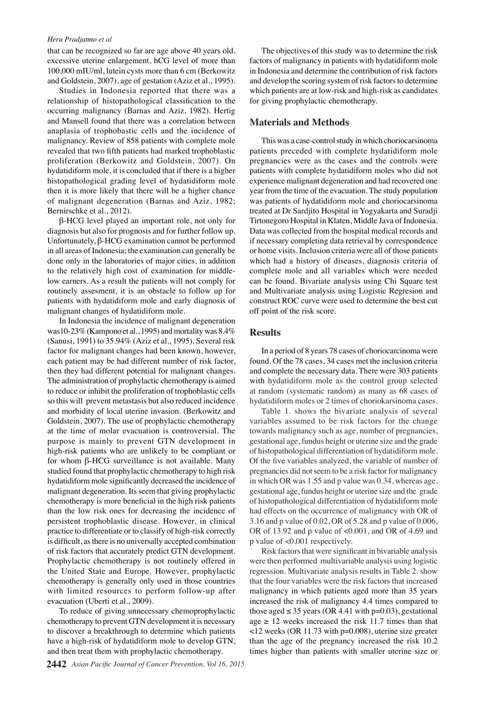#### *Heru Pradjatmo et al*

that can be recognized so far are age above 40 years old, excessive uterine enlargement, hCG level of more than 100,000 mIU/ml, lutein cysts more than 6 cm (Berkowitz and Goldstein, 2007), age of gestation (Aziz et al., 1995).

Studies in Indonesia reported that there was a relationship of histopathological classification to the occurring malignancy (Barnas and Aziz, 1982). Hertig and Mansell found that there was a correlation between anaplasia of trophobastic cells and the incidence of malignancy. Review of 858 patients with complete mole revealed that two fifth patients had marked trophoblastic proliferation (Berkowitz and Goldstein, 2007). On hydatidiform mole, it is concluded that if there is a higher histopathological grading level of hydatidiform mole then it is more likely that there will be a higher chance of malignant degeneration (Barnas and Aziz, 1982; Bernirschke et al., 2012).

β-HCG level played an important role, not only for diagnosis but also for prognosis and for further follow up. Unfortunately, β-HCG examination cannot be performed in all areas of Indonesia; the examination can generally be done only in the laboratories of major cities, in addition to the relatively high cost of examination for middlelow earners. As a result the patients will not comply for routinely assesment, it is an obstacle to follow up for patients with hydatidiform mole and early diagnosis of malignant changes of hydatidiform mole.

In Indonesia the incidence of malignant degeneration was10-23% (Kampono et al., 1995) and mortality was 8.4% (Sanusi, 1991) to 35.94% (Aziz et al., 1995). Several risk factor for malignant changes had been known, however, each patient may be had different number of risk factor, then they had different potential for malignant changes. The administration of prophylactic chemotherapy is aimed to reduce or inhibit the proliferation of trophoblastic cells so this will prevent metastasis but also reduced incidence and morbidity of local uterine invasion. (Berkowitz and Goldstein, 2007). The use of prophylactic chemotherapy at the time of molar evacuation is controversial. The purpose is mainly to prevent GTN development in high-risk patients who are unlikely to be compliant or for whom β-HCG surveillance is not available. Many studied found that prophylactic chemotherapy to high risk hydatidiform mole significantly decreased the incidence of malignant degeneration. Its seem that giving prophylactic chemotherapy is more beneficial in the high risk patients than the low risk ones for decreasing the incidence of persistent trophoblastic disease. However, in clinical practice to differentiate or to classify of high-risk correctly is difficult, as there is no universally accepted combination of risk factors that accurately predict GTN development. Prophylactic chemotherapy is not routinely offered in the United State and Europe. However, prophylactic chemotherapy is generally only used in those countries with limited resources to perform follow-up after evacuation (Uberti et al., 2009).

To reduce of giving unnecessary chemoprophylactic chemotherapy to prevent GTN development it is necessary to discover a breakthrough to determine which patients have a high-risk of hydatidiform mole to develop GTN, and then treat them with prophylactic chemotherapy.

The objectives of this study was to determine the risk factors of malignancy in patients with hydatidiform mole in Indonesia and determine the contribution of risk factors and develop the scoring system of risk factors to determine which patients are at low-risk and high-risk as candidates for giving prophylactic chemotherapy.

# **Materials and Methods**

This was a case-control study in which choriocarsinoma patients preceded with complete hydatidiform mole pregnancies were as the cases and the controls were patients with complete hydatidiform moles who did not experience malignant degeneration and had recovered one year from the time of the evacuation. The study population was patients of hydatidiform mole and choriocarsinoma treated at Dr Sardjito Hospital in Yogyakarta and Suradji Tirtonegoro Hospital in Klaten, Middle Java of Indonesia. Data was collected from the hospital medical records and if necessary completing data retrieval by correspondence or home visits. Inclusion criteria were all of those patients which had a history of diseases, diagnosis criteria of complete mole and all variables which were needed can be found. Bivariate analysis using Chi Square test and Multivariate analysis using Logistic Regresion and construct ROC curve were used to determine the best cut off point of the risk score.

#### **Results**

In a period of 8 years 78 cases of choriocarcinoma were found. Of the 78 cases, 34 cases met the inclusion criteria and complete the necessary data. There were 303 patients with hydatidiform mole as the control group selected at random (systematic random) as many as 68 cases of hydatidiform moles or 2 times of choriokarsinoma cases.

Table 1. shows the bivariate analysis of several variables assumed to be risk factors for the change towards malignancy such as age, number of pregnancies, gestational age, fundus height or uterine size and the grade of histopathological differentiation of hydatidiform mole. Of the five variables analyzed, the variable of number of pregnancies did not seem to be a risk factor for malignancy in which OR was 1.55 and p value was 0.34, whereas age, gestational age, fundus height or uterine size and the grade of histopathological differentiation of hydatidiform mole had effects on the occurrence of malignancy with OR of 3.16 and p value of 0.02, OR of 5.28 and p value of 0.006, OR of 13.92 and p value of <0.001, and OR of 4.69 and p value of <0.001 respectively.

Risk factors that were significant in bivariable analysis were then performed multivariable analysis using logistic regression. Multivariate analysis results in Table 2. show that the four variables were the risk factors that increased malignancy in which patients aged more than 35 years increased the risk of malignancy 4.4 times compared to those aged  $\leq$  35 years (OR 4.41 with p=0.03), gestational age  $\geq$  12 weeks increased the risk 11.7 times than that <12 weeks (OR 11.73 with p=0.008), uterine size greater than the age of the pregnancy increased the risk 10.2 times higher than patients with smaller uterine size or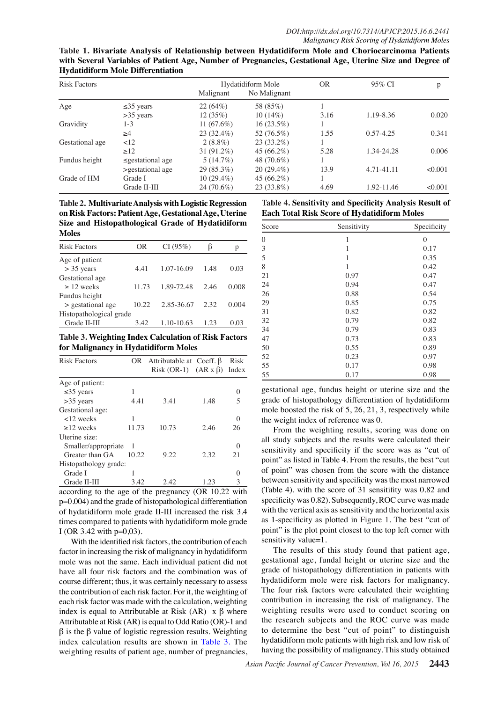**Table 1. Bivariate Analysis of Relationship between Hydatidiform Mole and Choriocarcinoma Patients with Several Variables of Patient Age, Number of Pregnancies, Gestational Age, Uterine Size and Degree of Hydatidiform Mole Differentiation**

| <b>Risk Factors</b> |                        | Hydatidiform Mole |              | <b>OR</b> | 95% CI        | p       |
|---------------------|------------------------|-------------------|--------------|-----------|---------------|---------|
|                     |                        | Malignant         | No Malignant |           |               |         |
| Age                 | $\leq$ 35 years        | 22(64%)           | 58 (85%)     |           |               |         |
|                     | $>35$ years            | 12(35%)           | $10(14\%)$   | 3.16      | 1.19-8.36     | 0.020   |
| Gravidity           | 1-3                    | 11 $(67.6%)$      | $16(23.5\%)$ |           |               |         |
|                     | $\geq 4$               | 23 (32.4%)        | 52 (76.5%)   | 1.55      | $0.57 - 4.25$ | 0.341   |
| Gestational age     | <12                    | $2(8.8\%)$        | $23(33.2\%)$ |           |               |         |
|                     | $\geq$ 12              | 31 (91.2%)        | $45(66.2\%)$ | 5.28      | 1.34-24.28    | 0.006   |
| Fundus height       | $\leq$ gestational age | $5(14.7\%)$       | 48 (70.6%)   |           |               |         |
|                     | >gestational age       | $29(85.3\%)$      | $20(29.4\%)$ | 13.9      | 4.71-41.11    | < 0.001 |
| Grade of HM         | Grade I                | $10(29.4\%)$      | $45(66.2\%)$ |           |               |         |
|                     | Grade II-III           | 24 (70.6%)        | $23(33.8\%)$ | 4.69      | 1.92-11.46    | < 0.001 |

**Table 2. Multivariate Analysis with Logistic Regression on Risk Factors: Patient Age, Gestational Age, Uterine Size and Histopathological Grade of Hydatidiform Moles**

| <b>Risk Factors</b>     | OR    | CI(95%)    | ß    | р                           |  |  |
|-------------------------|-------|------------|------|-----------------------------|--|--|
| Age of patient          |       |            |      |                             |  |  |
| $>$ 35 years            | 4.41  | 1.07-16.09 | 1.48 | 0.03                        |  |  |
| Gestational age         |       |            |      |                             |  |  |
| $> 12$ weeks            | 11 73 | 1.89-72.48 | 2.46 | 0.008                       |  |  |
| Fundus height           |       |            |      |                             |  |  |
| > gestational age       | 10.22 | 2.85-36.67 |      | $2.\overline{3}0.0^{0.004}$ |  |  |
| Histopathological grade |       |            |      |                             |  |  |
| Grade II-III            | 3.42  | 1.10-10.63 | 1.23 | 0.03                        |  |  |

75.0 **Table 3. Weighting Index Calculation of Risk Factors for Malignancy in Hydatidiform Moles**

| <b>Risk Factors</b>   |       | OR Attributable at Coeff. $\beta$  |      | Risk             |  |
|-----------------------|-------|------------------------------------|------|------------------|--|
|                       |       | Risk $(OR-1)$ $(AR x \beta)$ Index |      |                  |  |
| Age of patient:       |       |                                    |      |                  |  |
| $\leq$ 35 years       |       |                                    |      |                  |  |
| $>35$ years           | 4.41  | 3.41                               | 1.48 | 5                |  |
| Gestational age:      |       |                                    | 25.0 |                  |  |
| $<12$ weeks           |       |                                    |      |                  |  |
| $>12$ weeks           | 11.73 | 10.73                              | 2.46 | 26               |  |
| Uterine size:         |       |                                    |      |                  |  |
| Smaller/appropriate   |       |                                    |      | $\left( \right)$ |  |
| Greater than GA       | 10.22 | 9.22                               | 2.32 | 21               |  |
| Histopathology grade: |       |                                    |      |                  |  |
| Grade I               |       |                                    |      |                  |  |
| Grade II-III          | 3.42  | 2.42                               | 1.23 |                  |  |

according to the age of the pregnancy (OR 10.22 with p=0.004) and the grade of histopathological differentiation of hydatidiform mole grade II-III increased the risk 3.4 times compared to patients with hydatidiform mole grade I (OR 3.42 with p=0,03).

With the identified risk factors, the contribution of each factor in increasing the risk of malignancy in hydatidiform mole was not the same. Each individual patient did not have all four risk factors and the combination was of course different; thus, it was certainly necessary to assess the contribution of each risk factor. For it, the weighting of each risk factor was made with the calculation, weighting index is equal to Attributable at Risk  $(AR) \times \beta$  where Attributable at Risk (AR) is equal to Odd Ratio (OR)-1 and β is the β value of logistic regression results. Weighting index calculation results are shown in Table 3. The weighting results of patient age, number of pregnancies,

**Table 4. Sensitivity and Specificity Analysis Result of Each Total Risk Score of Hydatidiform Moles**



sensitivity and specificity if the score was as "cut of  $\frac{1}{2}$  as listed in Table 4. From the results, the best cut  $\frac{1}{2}$  point" was chosen from the score with the distance  $\ddot{\mathbf{g}}$ etween s $\ddot{\mathbf{g}}$  sitivity and specificity was the most narrowed  $F$ Table 4). Writh the score of 31 sensitifity was 0.82 and  $\frac{1}{2}$ specificity  $\frac{1}{2}$  was 0.82).  $\frac{1}{2}$  ubsequently, ROC curve was made with the vertical axis as sensitivity and the horizontal axis  $\frac{1}{2}$  $\frac{3}{8}$ s 1-specificity as plotted in Figure 1. The best "cut of point" is the plot point closest to the top left corner with  $\overline{\mathbf{S}}$ ensitivity value=1. Newly diagnosed without treatment Newly *diagnosed with the atment* Persistence or reculterate Remission

**Chemotherapy** 

Chemotherapy

**12.8**

**51.1**

**75.0**

The results of this study found that patient age, gestational age, fundal height or uterine size and the grade of histopathology differentiation in patients with hydatidiform mole were risk factors for malignancy. The four risk factors were calculated their weighting contribution in increasing the risk of malignancy. The weighting results were used to conduct scoring on the research subjects and the ROC curve was made to determine the best "cut of point" to distinguish hydatidiform mole patients with high risk and low risk of having the possibility of malignancy. This study obtained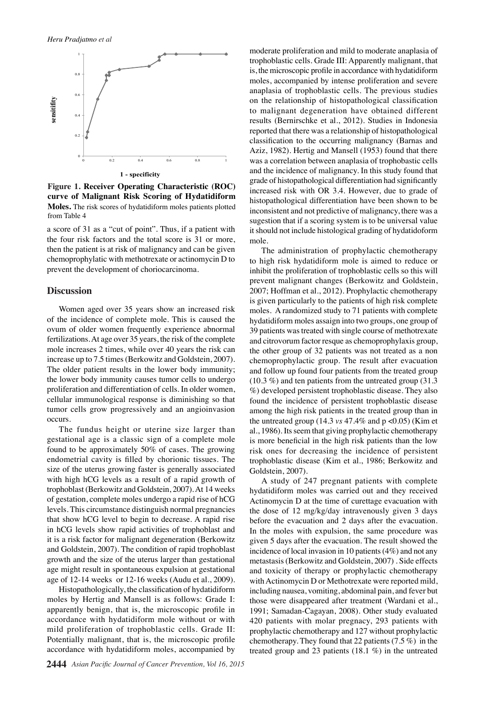

**Figure 1. Receiver Operating Characteristic (ROC) curve of Malignant Risk Scoring of Hydatidiform Moles.** The risk scores of hydatidiform moles patients plotted from Table 4

a score of 31 as a "cut of point". Thus, if a patient with the four risk factors and the total score is 31 or more, then the patient is at risk of malignancy and can be given chemoprophylatic with methotrexate or actinomycin D to prevent the development of choriocarcinoma.

### **Discussion**

Women aged over 35 years show an increased risk of the incidence of complete mole. This is caused the ovum of older women frequently experience abnormal fertilizations. At age over 35 years, the risk of the complete mole increases 2 times, while over 40 years the risk can increase up to 7.5 times (Berkowitz and Goldstein, 2007). The older patient results in the lower body immunity; the lower body immunity causes tumor cells to undergo proliferation and differentiation of cells. In older women, cellular immunological response is diminishing so that tumor cells grow progressively and an angioinvasion occurs.

The fundus height or uterine size larger than gestational age is a classic sign of a complete mole found to be approximately 50% of cases. The growing endometrial cavity is filled by chorionic tissues. The size of the uterus growing faster is generally associated with high hCG levels as a result of a rapid growth of trophoblast (Berkowitz and Goldstein, 2007). At 14 weeks of gestation, complete moles undergo a rapid rise of hCG levels. This circumstance distinguish normal pregnancies that show hCG level to begin to decrease. A rapid rise in hCG levels show rapid activities of trophoblast and it is a risk factor for malignant degeneration (Berkowitz and Goldstein, 2007). The condition of rapid trophoblast growth and the size of the uterus larger than gestational age might result in spontaneous expulsion at gestational age of 12-14 weeks or 12-16 weeks (Audu et al., 2009).

Histopathologically, the classification of hydatidiform moles by Hertig and Mansell is as follows: Grade I: apparently benign, that is, the microscopic profile in accordance with hydatidiform mole without or with mild proliferation of trophoblastic cells. Grade II: Potentially malignant, that is, the microscopic profile accordance with hydatidiform moles, accompanied by moderate proliferation and mild to moderate anaplasia of trophoblastic cells. Grade III: Apparently malignant, that is, the microscopic profile in accordance with hydatidiform moles, accompanied by intense proliferation and severe anaplasia of trophoblastic cells. The previous studies on the relationship of histopathological classification to malignant degeneration have obtained different results (Bernirschke et al., 2012). Studies in Indonesia reported that there was a relationship of histopathological classification to the occurring malignancy (Barnas and Aziz, 1982). Hertig and Mansell (1953) found that there was a correlation between anaplasia of trophobastic cells and the incidence of malignancy. In this study found that grade of histopathological differentiation had significantly increased risk with OR 3.4. However, due to grade of histopathological differentiation have been shown to be inconsistent and not predictive of malignancy, there was a sugestion that if a scoring system is to be universal value it should not include histological grading of hydatidoform mole.

The administration of prophylactic chemotherapy to high risk hydatidiform mole is aimed to reduce or inhibit the proliferation of trophoblastic cells so this will prevent malignant changes (Berkowitz and Goldstein, 2007; Hoffman et al., 2012). Prophylactic chemotherapy is given particularly to the patients of high risk complete moles. A randomized study to 71 patients with complete hydatidiform moles assaign into two groups, one group of 39 patients was treated with single course of methotrexate and citrovorum factor resque as chemoprophylaxis group, the other group of 32 patients was not treated as a non chemoprophylactic group. The result after evacuation and follow up found four patients from the treated group (10.3 %) and ten patients from the untreated group (31.3 %) developed persistent trophoblastic disease. They also found the incidence of persistent trophoblastic disease among the high risk patients in the treated group than in the untreated group (14.3 *vs* 47.4% and p <0.05) (Kim et al., 1986). Its seem that giving prophylactic chemotherapy is more beneficial in the high risk patients than the low risk ones for decreasing the incidence of persistent trophoblastic disease (Kim et al., 1986; Berkowitz and Goldstein, 2007).

A study of 247 pregnant patients with complete hydatidiform moles was carried out and they received Actinomycin D at the time of curettage evacuation with the dose of 12 mg/kg/day intravenously given 3 days before the evacuation and 2 days after the evacuation. In the moles with expulsion, the same procedure was given 5 days after the evacuation. The result showed the incidence of local invasion in 10 patients (4%) and not any metastasis (Berkowitz and Goldstein, 2007) . Side effects and toxicity of therapy or prophylactic chemotherapy with Actinomycin D or Methotrexate were reported mild, including nausea, vomiting, abdominal pain, and fever but those were disappeared after treatment (Wardani et al., 1991; Samadan-Cagayan, 2008). Other study evaluated 420 patients with molar pregnacy, 293 patients with prophylactic chemotherapy and 127 without prophylactic chemotherapy. They found that 22 patients  $(7.5\%)$  in the treated group and 23 patients (18.1 %) in the untreated